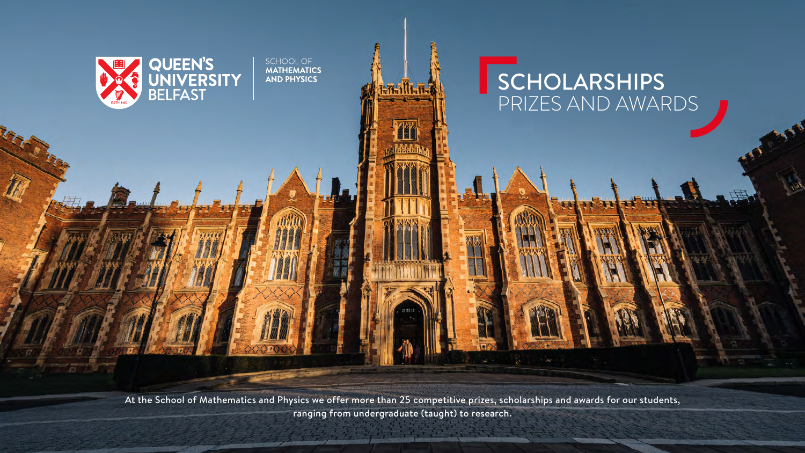

At the School of Mathematics and Physics we offer more than 25 competitive prizes, scholarships and awards for our students, ranging from undergraduate (taught) to research.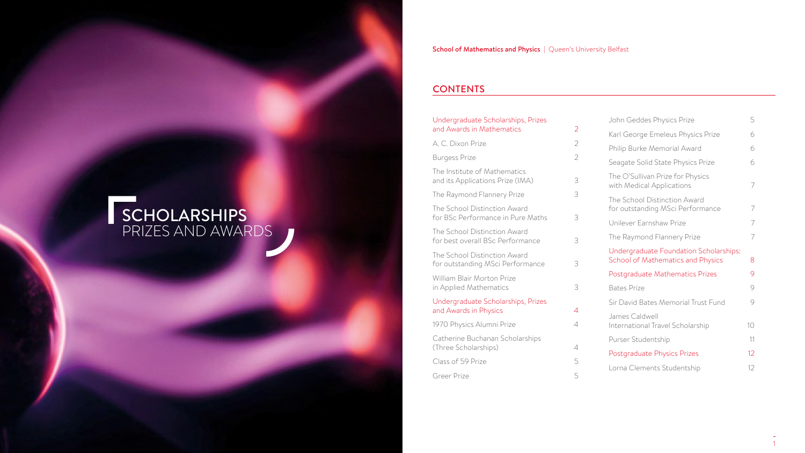# SCHOLARSHIPS PRIZES AND AWARDS

# **CONTENTS**

# Undergraduate Scholarships, Prizes and Awards in Mathematics 2 A. C. Dixon Prize 2 Burgess Prize 2012 The Institute of Mathematics and its Applications Prize (IMA) 3 The Raymond Flannery Prize 3 The School Distinction Award for BSc Performance in Pure Maths 3 The School Distinction Award for best overall BSc Performance 3 The School Distinction Award for outstanding MSci Performance 3 William Blair Morton Prize in Applied Mathematics 3 Undergraduate Scholarships, Prizes and Awards in Physics 4 1970 Physics Alumni Prize 4 Catherine Buchanan Scholarships (Three Scholarships) 4 Class of 59 Prize 5 Greer Prize 5 John Geddes Physics Prize 5

| John Geades Physics Prize                                                          | J  |
|------------------------------------------------------------------------------------|----|
| Karl George Emeleus Physics Prize                                                  | 6  |
| Philip Burke Memorial Award                                                        | 6  |
| Seagate Solid State Physics Prize                                                  | 6  |
| The O'Sullivan Prize for Physics<br>with Medical Applications                      | 7  |
| The School Distinction Award<br>for outstanding MSci Performance                   | 7  |
| Unilever Farnshaw Prize                                                            | 7  |
| The Raymond Flannery Prize                                                         | 7  |
| Undergraduate Foundation Scholarships:<br><b>School of Mathematics and Physics</b> | 8  |
| Postgraduate Mathematics Prizes                                                    | 9  |
| <b>Bates Prize</b>                                                                 | 9  |
| Sir David Bates Memorial Trust Fund                                                | 9  |
| James Caldwell<br>International Travel Scholarship                                 | 10 |
| Purser Studentship                                                                 | 11 |
| Postgraduate Physics Prizes                                                        | 12 |
| Lorna Clements Studentship                                                         | 12 |
|                                                                                    |    |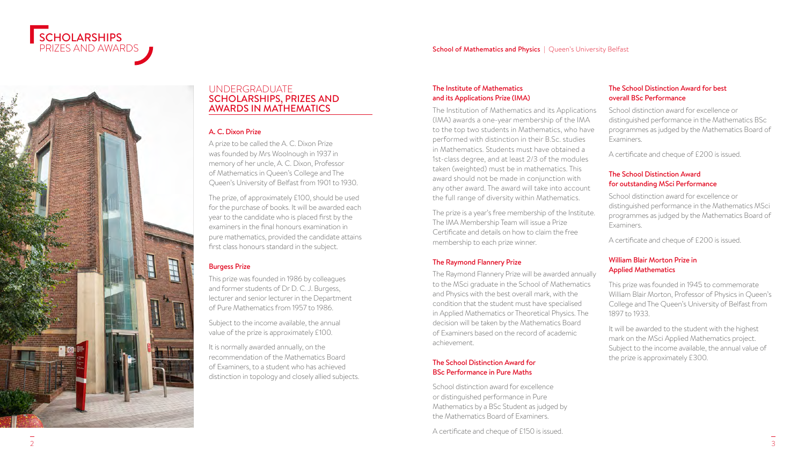



# UNDERGRADUATE SCHOLARSHIPS, PRIZES AND AWARDS IN MATHEMATICS

# A. C. Dixon Prize

A prize to be called the A. C. Dixon Prize was founded by Mrs Woolnough in 1937 in memory of her uncle, A. C. Dixon, Professor of Mathematics in Queen's College and The Queen's University of Belfast from 1901 to 1930.

The prize, of approximately £100, should be used for the purchase of books. It will be awarded each year to the candidate who is placed first by the examiners in the final honours examination in pure mathematics, provided the candidate attains first class honours standard in the subject.

# Burgess Prize

This prize was founded in 1986 by colleagues and former students of Dr D. C. J. Burgess, lecturer and senior lecturer in the Department of Pure Mathematics from 1957 to 1986.

Subject to the income available, the annual value of the prize is approximately £100.

It is normally awarded annually, on the recommendation of the Mathematics Board of Examiners, to a student who has achieved distinction in topology and closely allied subjects.

# The Institute of Mathematics and its Applications Prize (IMA)

The Institution of Mathematics and its Applications (IMA) awards a one-year membership of the IMA to the top two students in Mathematics, who have performed with distinction in their B.Sc. studies in Mathematics. Students must have obtained a 1st-class degree, and at least 2/3 of the modules taken (weighted) must be in mathematics. This award should not be made in conjunction with any other award. The award will take into account the full range of diversity within Mathematics.

The prize is a year's free membership of the Institute. The IMA Membership Team will issue a Prize Certificate and details on how to claim the free membership to each prize winner.

# The Raymond Flannery Prize

The Raymond Flannery Prize will be awarded annually to the MSci graduate in the School of Mathematics and Physics with the best overall mark, with the condition that the student must have specialised in Applied Mathematics or Theoretical Physics. The decision will be taken by the Mathematics Board of Examiners based on the record of academic achievement.

# The School Distinction Award for BSc Performance in Pure Maths

School distinction award for excellence or distinguished performance in Pure Mathematics by a BSc Student as judged by the Mathematics Board of Examiners.

A certificate and cheque of £150 is issued.

# The School Distinction Award for best overall BSc Performance

School distinction award for excellence or distinguished performance in the Mathematics BSc programmes as judged by the Mathematics Board of Examiners.

A certificate and cheque of £200 is issued.

## The School Distinction Award for outstanding MSci Performance

School distinction award for excellence or distinguished performance in the Mathematics MSci programmes as judged by the Mathematics Board of Examiners.

A certificate and cheque of £200 is issued.

# William Blair Morton Prize in Applied Mathematics

This prize was founded in 1945 to commemorate William Blair Morton, Professor of Physics in Queen's College and The Queen's University of Belfast from 1897 to 1933.

It will be awarded to the student with the highest mark on the MSci Applied Mathematics project. Subject to the income available, the annual value of the prize is approximately £300.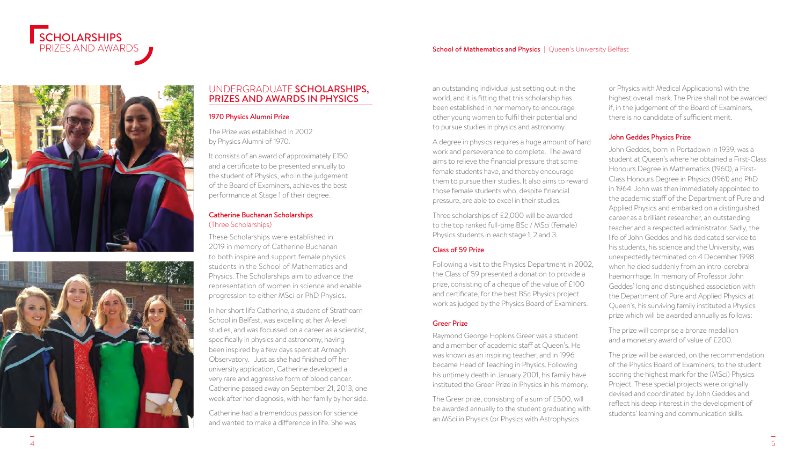

#### School of Mathematics and Physics | Queen's University Belfast





# UNDERGRADUATE SCHOLARSHIPS, PRIZES AND AWARDS IN PHYSICS

# 1970 Physics Alumni Prize

The Prize was established in 2002 by Physics Alumni of 1970.

It consists of an award of approximately £150 and a certificate to be presented annually to the student of Physics, who in the judgement of the Board of Examiners, achieves the best performance at Stage 1 of their degree.

## Catherine Buchanan Scholarships (Three Scholarships)

These Scholarships were established in 2019 in memory of Catherine Buchanan to both inspire and support female physics students in the School of Mathematics and Physics. The Scholarships aim to advance the representation of women in science and enable progression to either MSci or PhD Physics.

In her short life Catherine, a student of Strathearn School in Belfast, was excelling at her A-level studies, and was focussed on a career as a scientist, specifically in physics and astronomy, having been inspired by a few days spent at Armagh Observatory. Just as she had finished off her university application, Catherine developed a very rare and aggressive form of blood cancer. Catherine passed away on September 21, 2013, one week after her diagnosis, with her family by her side.

Catherine had a tremendous passion for science and wanted to make a difference in life. She was

an outstanding individual just setting out in the world, and it is fitting that this scholarship has been established in her memory to encourage other young women to fulfil their potential and to pursue studies in physics and astronomy.

A degree in physics requires a huge amount of hard work and perseverance to complete. The award aims to relieve the financial pressure that some female students have, and thereby encourage them to pursue their studies. It also aims to reward those female students who, despite financial pressure, are able to excel in their studies.

Three scholarships of £2,000 will be awarded to the top ranked full-time BSc / MSci (female) Physics students in each stage 1, 2 and 3.

# Class of 59 Prize

Following a visit to the Physics Department in 2002, the Class of 59 presented a donation to provide a prize, consisting of a cheque of the value of £100 and certificate, for the best BSc Physics project work as judged by the Physics Board of Examiners.

## Greer Prize

Raymond George Hopkins Greer was a student and a member of academic staff at Queen's. He was known as an inspiring teacher, and in 1996 became Head of Teaching in Physics. Following his untimely death in January 2001, his family have instituted the Greer Prize in Physics in his memory.

The Greer prize, consisting of a sum of £500, will be awarded annually to the student graduating with an MSci in Physics (or Physics with Astrophysics

or Physics with Medical Applications) with the highest overall mark. The Prize shall not be awarded if, in the judgement of the Board of Examiners, there is no candidate of sufficient merit.

### John Geddes Physics Prize

John Geddes, born in Portadown in 1939, was a student at Queen's where he obtained a First-Class Honours Degree in Mathematics (1960), a First-Class Honours Degree in Physics (1961) and PhD in 1964. John was then immediately appointed to the academic staff of the Department of Pure and Applied Physics and embarked on a distinguished career as a brilliant researcher, an outstanding teacher and a respected administrator. Sadly, the life of John Geddes and his dedicated service to his students, his science and the University, was unexpectedly terminated on 4 December 1998 when he died suddenly from an intro-cerebral haemorrhage. In memory of Professor John Geddes' long and distinguished association with the Department of Pure and Applied Physics at Queen's, his surviving family instituted a Physics prize which will be awarded annually as follows:

The prize will comprise a bronze medallion and a monetary award of value of £200.

The prize will be awarded, on the recommendation of the Physics Board of Examiners, to the student scoring the highest mark for the (MSci) Physics Project. These special projects were originally devised and coordinated by John Geddes and reflect his deep interest in the development of students' learning and communication skills.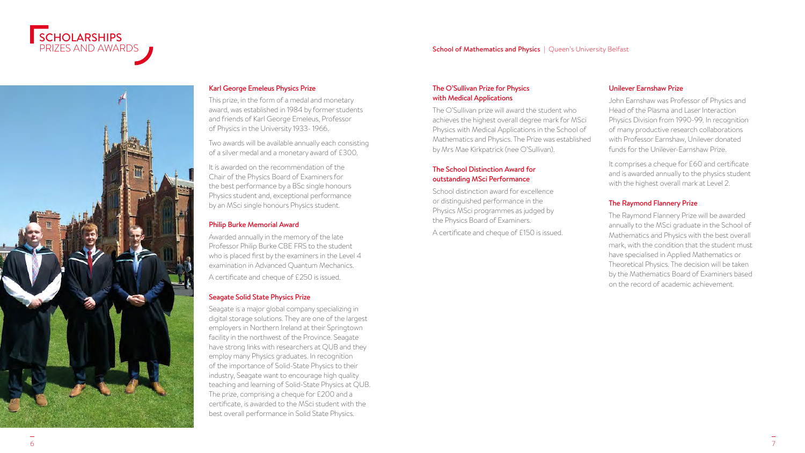

#### School of Mathematics and Physics | Queen's University Belfast



# Karl George Emeleus Physics Prize

This prize, in the form of a medal and monetary award, was established in 1984 by former students and friends of Karl George Emeleus, Professor of Physics in the University 1933- 1966.

Two awards will be available annually each consisting of a silver medal and a monetary award of £300.

It is awarded on the recommendation of the Chair of the Physics Board of Examiners for the best performance by a BSc single honours Physics student and, exceptional performance by an MSci single honours Physics student.

#### Philip Burke Memorial Award

Awarded annually in the memory of the late Professor Philip Burke CBE FRS to the student who is placed first by the examiners in the Level 4 examination in Advanced Quantum Mechanics. A certificate and cheque of £250 is issued.

#### Seagate Solid State Physics Prize

Seagate is a major global company specializing in digital storage solutions. They are one of the largest employers in Northern Ireland at their Springtown facility in the northwest of the Province. Seagate have strong links with researchers at QUB and they employ many Physics graduates. In recognition of the importance of Solid-State Physics to their industry, Seagate want to encourage high quality teaching and learning of Solid-State Physics at QUB. The prize, comprising a cheque for £200 and a certificate, is awarded to the MSci student with the best overall performance in Solid State Physics.

#### The O'Sullivan Prize for Physics with Medical Applications

The O'Sullivan prize will award the student who achieves the highest overall degree mark for MSci Physics with Medical Applications in the School of Mathematics and Physics. The Prize was established by Mrs Mae Kirkpatrick (nee O'Sullivan).

## The School Distinction Award for outstanding MSci Performance

School distinction award for excellence or distinguished performance in the Physics MSci programmes as judged by the Physics Board of Examiners.

A certificate and cheque of £150 is issued.

#### Unilever Earnshaw Prize

John Earnshaw was Professor of Physics and Head of the Plasma and Laser Interaction Physics Division from 1990-99. In recognition of many productive research collaborations with Professor Farnshaw, Unilever donated funds for the Unilever-Earnshaw Prize.

It comprises a cheque for £60 and certificate and is awarded annually to the physics student with the highest overall mark at Level 2.

# The Raymond Flannery Prize

The Raymond Flannery Prize will be awarded annually to the MSci graduate in the School of Mathematics and Physics with the best overall mark, with the condition that the student must have specialised in Applied Mathematics or Theoretical Physics. The decision will be taken by the Mathematics Board of Examiners based on the record of academic achievement.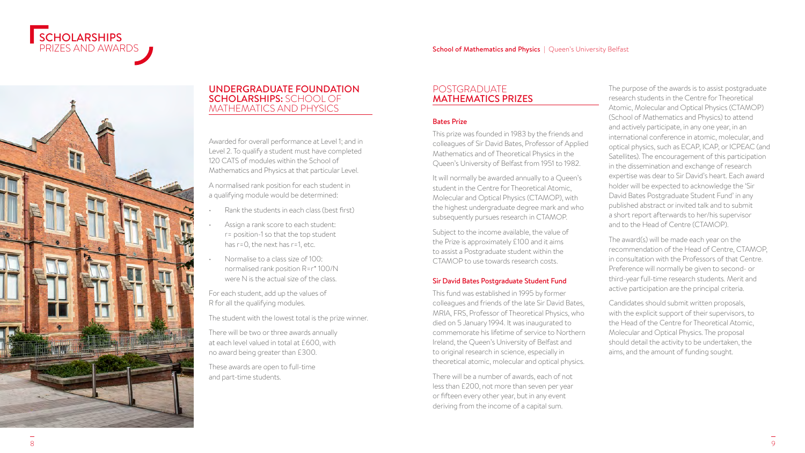

# UNDERGRADUATE FOUNDATION SCHOLARSHIPS: SCHOOL OF MATHEMATICS AND PHYSICS

Awarded for overall performance at Level 1; and in Level 2. To qualify a student must have completed 120 CATS of modules within the School of Mathematics and Physics at that particular Level.

A normalised rank position for each student in a qualifying module would be determined:

- Rank the students in each class (best first)
- Assign a rank score to each student: r= position-1 so that the top student has r=0, the next has r=1, etc.
- Normalise to a class size of 100: normalised rank position R=r\* 100/N were N is the actual size of the class.

For each student, add up the values of R for all the qualifying modules.

The student with the lowest total is the prize winner.

There will be two or three awards annually at each level valued in total at £600, with no award being greater than £300.

These awards are open to full-time and part-time students.

# POSTGRADUATE MATHEMATICS PRIZES

# Bates Prize

This prize was founded in 1983 by the friends and colleagues of Sir David Bates, Professor of Applied Mathematics and of Theoretical Physics in the Queen's University of Belfast from 1951 to 1982.

It will normally be awarded annually to a Queen's student in the Centre for Theoretical Atomic, Molecular and Optical Physics (CTAMOP), with the highest undergraduate degree mark and who subsequently pursues research in CTAMOP.

Subject to the income available, the value of the Prize is approximately £100 and it aims to assist a Postgraduate student within the CTAMOP to use towards research costs.

# Sir David Bates Postgraduate Student Fund

This fund was established in 1995 by former colleagues and friends of the late Sir David Bates, MRIA, FRS, Professor of Theoretical Physics, who died on 5 January 1994. It was inaugurated to commemorate his lifetime of service to Northern Ireland, the Queen's University of Belfast and to original research in science, especially in theoretical atomic, molecular and optical physics.

There will be a number of awards, each of not less than £200, not more than seven per year or fifteen every other year, but in any event deriving from the income of a capital sum.

The purpose of the awards is to assist postgraduate research students in the Centre for Theoretical Atomic, Molecular and Optical Physics (CTAMOP) (School of Mathematics and Physics) to attend and actively participate, in any one year, in an international conference in atomic, molecular, and optical physics, such as ECAP, ICAP, or ICPEAC (and Satellites). The encouragement of this participation in the dissemination and exchange of research expertise was dear to Sir David's heart. Each award holder will be expected to acknowledge the 'Sir David Bates Postgraduate Student Fund' in any published abstract or invited talk and to submit a short report afterwards to her/his supervisor and to the Head of Centre (CTAMOP).

The award(s) will be made each year on the recommendation of the Head of Centre, CTAMOP, in consultation with the Professors of that Centre. Preference will normally be given to second- or third-year full-time research students. Merit and active participation are the principal criteria.

Candidates should submit written proposals, with the explicit support of their supervisors, to the Head of the Centre for Theoretical Atomic, Molecular and Optical Physics. The proposal should detail the activity to be undertaken, the aims, and the amount of funding sought.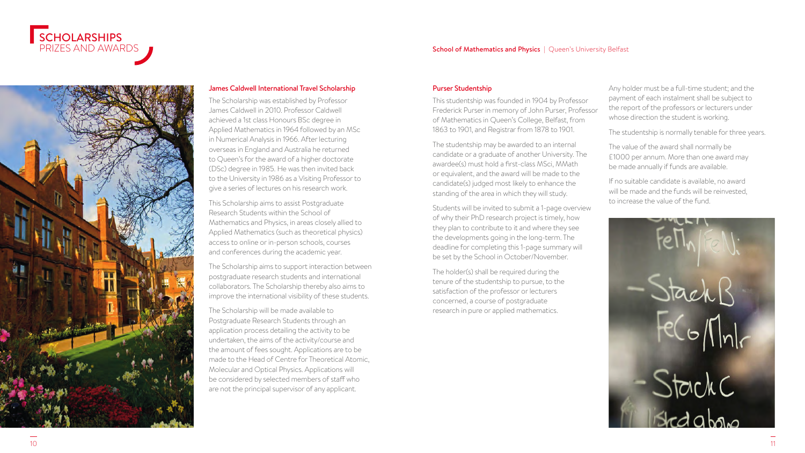





# James Caldwell International Travel Scholarship

The Scholarship was established by Professor James Caldwell in 2010. Professor Caldwell achieved a 1st class Honours BSc degree in Applied Mathematics in 1964 followed by an MSc in Numerical Analysis in 1966. After lecturing overseas in England and Australia he returned to Queen's for the award of a higher doctorate (DSc) degree in 1985. He was then invited back to the University in 1986 as a Visiting Professor to give a series of lectures on his research work.

This Scholarship aims to assist Postgraduate Research Students within the School of Mathematics and Physics, in areas closely allied to Applied Mathematics (such as theoretical physics) access to online or in-person schools, courses and conferences during the academic year.

The Scholarship aims to support interaction between postgraduate research students and international collaborators. The Scholarship thereby also aims to improve the international visibility of these students.

The Scholarship will be made available to Postgraduate Research Students through an application process detailing the activity to be undertaken, the aims of the activity/course and the amount of fees sought. Applications are to be made to the Head of Centre for Theoretical Atomic, Molecular and Optical Physics. Applications will be considered by selected members of staff who are not the principal supervisor of any applicant.

#### Purser Studentship

This studentship was founded in 1904 by Professor Frederick Purser in memory of John Purser, Professor of Mathematics in Queen's College, Belfast, from 1863 to 1901, and Registrar from 1878 to 1901.

The studentship may be awarded to an internal candidate or a graduate of another University. The awardee(s) must hold a first-class MSci, MMath or equivalent, and the award will be made to the candidate(s) judged most likely to enhance the standing of the area in which they will study.

Students will be invited to submit a 1-page overview of why their PhD research project is timely, how they plan to contribute to it and where they see the developments going in the long-term. The deadline for completing this 1-page summary will be set by the School in October/November.

The holder(s) shall be required during the tenure of the studentship to pursue, to the satisfaction of the professor or lecturers concerned, a course of postgraduate research in pure or applied mathematics.

Any holder must be a full-time student; and the payment of each instalment shall be subject to the report of the professors or lecturers under whose direction the student is working.

The studentship is normally tenable for three years.

The value of the award shall normally be £1000 per annum. More than one award may be made annually if funds are available.

If no suitable candidate is available, no award will be made and the funds will be reinvested, to increase the value of the fund.